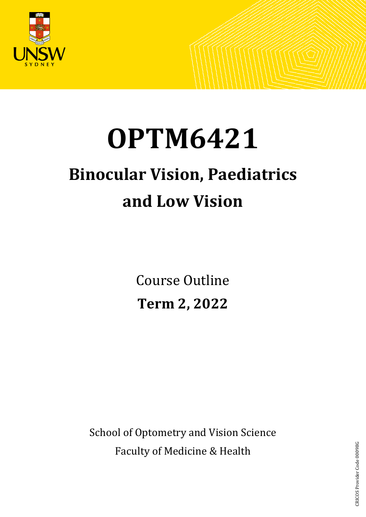

# **OPTM6421**

# **Binocular Vision, Paediatrics and Low Vision**

Course Outline **Term 2, 2022**

School of Optometry and Vision Science Faculty of Medicine & Health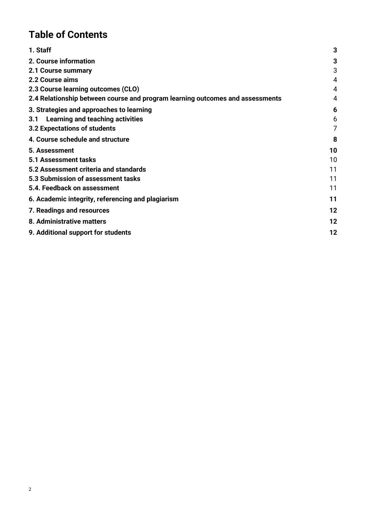# **Table of Contents**

| 1. Staff                                                                      | 3  |
|-------------------------------------------------------------------------------|----|
| 2. Course information                                                         | 3  |
| 2.1 Course summary                                                            | 3  |
| 2.2 Course aims                                                               | 4  |
| 2.3 Course learning outcomes (CLO)                                            | 4  |
| 2.4 Relationship between course and program learning outcomes and assessments | 4  |
| 3. Strategies and approaches to learning                                      | 6  |
| 3.1 Learning and teaching activities                                          | 6  |
| 3.2 Expectations of students                                                  | 7  |
| 4. Course schedule and structure                                              | 8  |
| 5. Assessment                                                                 | 10 |
| <b>5.1 Assessment tasks</b>                                                   | 10 |
| 5.2 Assessment criteria and standards                                         | 11 |
| 5.3 Submission of assessment tasks                                            | 11 |
| 5.4. Feedback on assessment                                                   | 11 |
| 6. Academic integrity, referencing and plagiarism                             | 11 |
| 7. Readings and resources                                                     | 12 |
| 8. Administrative matters                                                     | 12 |
| 9. Additional support for students                                            | 12 |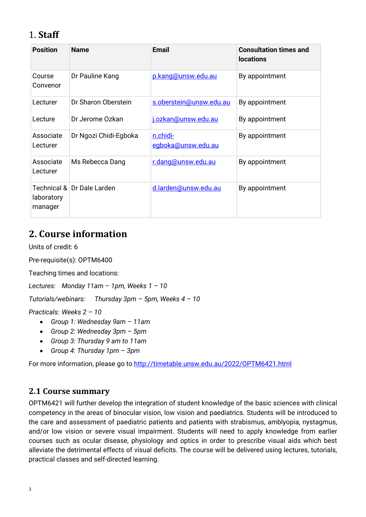# <span id="page-2-0"></span>1. **Staff**

| <b>Position</b>                      | <b>Name</b>           | <b>Email</b>                   | <b>Consultation times and</b><br><b>locations</b> |
|--------------------------------------|-----------------------|--------------------------------|---------------------------------------------------|
| Course<br>Convenor                   | Dr Pauline Kang       | p.kang@unsw.edu.au             | By appointment                                    |
| Lecturer                             | Dr Sharon Oberstein   | s.oberstein@unsw.edu.au        | By appointment                                    |
| Lecture                              | Dr Jerome Ozkan       | j.ozkan@unsw.edu.au            | By appointment                                    |
| Associate<br>Lecturer                | Dr Ngozi Chidi-Egboka | n.chidi-<br>egboka@unsw.edu.au | By appointment                                    |
| Associate<br>Lecturer                | Ms Rebecca Dang       | r.dang@unsw.edu.au             | By appointment                                    |
| Technical &<br>laboratory<br>manager | Dr Dale Larden        | d.larden@unsw.edu.au           | By appointment                                    |

# <span id="page-2-1"></span>**2. Course information**

Units of credit: 6

Pre-requisite(s): OPTM6400

Teaching times and locations:

*Lectures: Monday 11am – 1pm, Weeks 1 – 10* 

*Tutorials/webinars: Thursday 3pm – 5pm, Weeks 4 – 10* 

*Practicals: Weeks 2 – 10*

- *Group 1: Wednesday 9am – 11am*
- *Group 2: Wednesday 3pm – 5pm*
- *Group 3: Thursday 9 am to 11am*
- *Group 4: Thursday 1pm – 3pm*

For more information, please go to<http://timetable.unsw.edu.au/2022/OPTM6421.html>

#### <span id="page-2-2"></span>**2.1 Course summary**

OPTM6421 will further develop the integration of student knowledge of the basic sciences with clinical competency in the areas of binocular vision, low vision and paediatrics. Students will be introduced to the care and assessment of paediatric patients and patients with strabismus, amblyopia, nystagmus, and/or low vision or severe visual impairment. Students will need to apply knowledge from earlier courses such as ocular disease, physiology and optics in order to prescribe visual aids which best alleviate the detrimental effects of visual deficits. The course will be delivered using lectures, tutorials, practical classes and self-directed learning.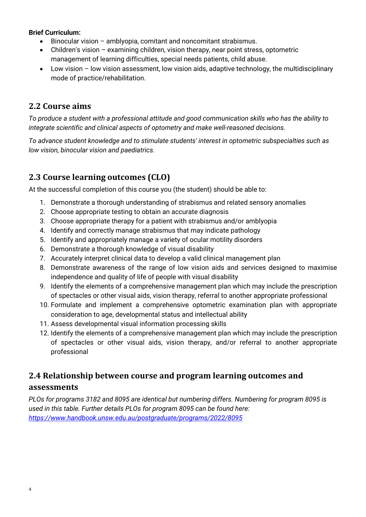#### **Brief Curriculum:**

- Binocular vision amblyopia, comitant and noncomitant strabismus.
- Children's vision examining children, vision therapy, near point stress, optometric management of learning difficulties, special needs patients, child abuse.
- Low vision low vision assessment, low vision aids, adaptive technology, the multidisciplinary mode of practice/rehabilitation.

#### <span id="page-3-0"></span>**2.2 Course aims**

*To produce a student with a professional attitude and good communication skills who has the ability to integrate scientific and clinical aspects of optometry and make well-reasoned decisions.* 

*To advance student knowledge and to stimulate students' interest in optometric subspecialties such as low vision, binocular vision and paediatrics.*

# <span id="page-3-1"></span>**2.3 Course learning outcomes (CLO)**

At the successful completion of this course you (the student) should be able to:

- 1. Demonstrate a thorough understanding of strabismus and related sensory anomalies
- 2. Choose appropriate testing to obtain an accurate diagnosis
- 3. Choose appropriate therapy for a patient with strabismus and/or amblyopia
- 4. Identify and correctly manage strabismus that may indicate pathology
- 5. Identify and appropriately manage a variety of ocular motility disorders
- 6. Demonstrate a thorough knowledge of visual disability
- 7. Accurately interpret clinical data to develop a valid clinical management plan
- 8. Demonstrate awareness of the range of low vision aids and services designed to maximise independence and quality of life of people with visual disability
- 9. Identify the elements of a comprehensive management plan which may include the prescription of spectacles or other visual aids, vision therapy, referral to another appropriate professional
- 10. Formulate and implement a comprehensive optometric examination plan with appropriate consideration to age, developmental status and intellectual ability
- 11. Assess developmental visual information processing skills
- 12. Identify the elements of a comprehensive management plan which may include the prescription of spectacles or other visual aids, vision therapy, and/or referral to another appropriate professional

# <span id="page-3-2"></span>**2.4 Relationship between course and program learning outcomes and assessments**

*PLOs for programs 3182 and 8095 are identical but numbering differs. Numbering for program 8095 is used in this table. Further details PLOs for program 8095 can be found here: <https://www.handbook.unsw.edu.au/postgraduate/programs/2022/8095>*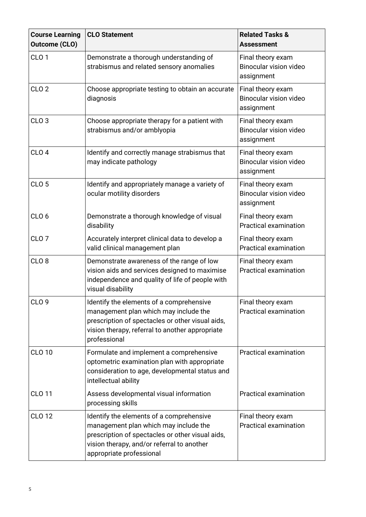| <b>Course Learning</b><br><b>Outcome (CLO)</b> | <b>CLO Statement</b>                                                                                                                                                                                            | <b>Related Tasks &amp;</b><br><b>Assessment</b>                  |
|------------------------------------------------|-----------------------------------------------------------------------------------------------------------------------------------------------------------------------------------------------------------------|------------------------------------------------------------------|
| CLO <sub>1</sub>                               | Demonstrate a thorough understanding of<br>strabismus and related sensory anomalies                                                                                                                             | Final theory exam<br><b>Binocular vision video</b><br>assignment |
| CLO <sub>2</sub>                               | Choose appropriate testing to obtain an accurate<br>diagnosis                                                                                                                                                   | Final theory exam<br><b>Binocular vision video</b><br>assignment |
| CLO <sub>3</sub>                               | Choose appropriate therapy for a patient with<br>strabismus and/or amblyopia                                                                                                                                    | Final theory exam<br>Binocular vision video<br>assignment        |
| CLO <sub>4</sub>                               | Identify and correctly manage strabismus that<br>may indicate pathology                                                                                                                                         | Final theory exam<br><b>Binocular vision video</b><br>assignment |
| CLO <sub>5</sub>                               | Identify and appropriately manage a variety of<br>ocular motility disorders                                                                                                                                     | Final theory exam<br><b>Binocular vision video</b><br>assignment |
| CLO <sub>6</sub>                               | Demonstrate a thorough knowledge of visual<br>disability                                                                                                                                                        | Final theory exam<br><b>Practical examination</b>                |
| CLO <sub>7</sub>                               | Accurately interpret clinical data to develop a<br>valid clinical management plan                                                                                                                               | Final theory exam<br><b>Practical examination</b>                |
| CLO <sub>8</sub>                               | Demonstrate awareness of the range of low<br>vision aids and services designed to maximise<br>independence and quality of life of people with<br>visual disability                                              | Final theory exam<br><b>Practical examination</b>                |
| CLO 9                                          | Identify the elements of a comprehensive<br>management plan which may include the<br>prescription of spectacles or other visual aids,<br>vision therapy, referral to another appropriate<br>professional        | Final theory exam<br><b>Practical examination</b>                |
| <b>CLO 10</b>                                  | Formulate and implement a comprehensive<br>optometric examination plan with appropriate<br>consideration to age, developmental status and<br>intellectual ability                                               | <b>Practical examination</b>                                     |
| <b>CLO 11</b>                                  | Assess developmental visual information<br>processing skills                                                                                                                                                    | <b>Practical examination</b>                                     |
| <b>CLO 12</b>                                  | Identify the elements of a comprehensive<br>management plan which may include the<br>prescription of spectacles or other visual aids,<br>vision therapy, and/or referral to another<br>appropriate professional | Final theory exam<br><b>Practical examination</b>                |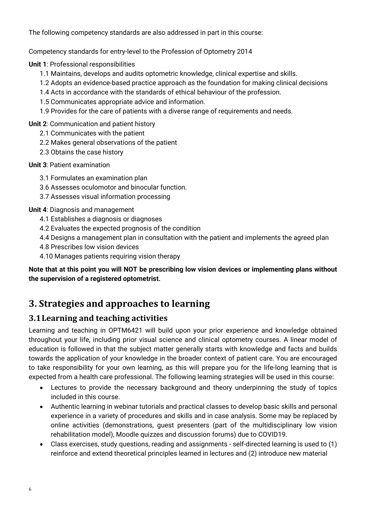The following competency standards are also addressed in part in this course:

Competency standards for entry-level to the Profession of Optometry 2014

**Unit 1**: Professional responsibilities

- 1.1 Maintains, develops and audits optometric knowledge, clinical expertise and skills.
- 1.2 Adopts an evidence-based practice approach as the foundation for making clinical decisions
- 1.4 Acts in accordance with the standards of ethical behaviour of the profession.
- 1.5 Communicates appropriate advice and information.
- 1.9 Provides for the care of patients with a diverse range of requirements and needs.

**Unit 2**: Communication and patient history

- 2.1 Communicates with the patient
- 2.2 Makes general observations of the patient
- 2.3 Obtains the case history

#### **Unit 3**: Patient examination

- 3.1 Formulates an examination plan
- 3.6 Assesses oculomotor and binocular function.
- 3.7 Assesses visual information processing

#### **Unit 4**: Diagnosis and management

- 4.1 Establishes a diagnosis or diagnoses
- 4.2 Evaluates the expected prognosis of the condition
- 4.4 Designs a management plan in consultation with the patient and implements the agreed plan
- 4.8 Prescribes low vision devices
- 4.10 Manages patients requiring vision therapy

**Note that at this point you will NOT be prescribing low vision devices or implementing plans without the supervision of a registered optometrist.**

# <span id="page-5-0"></span>**3. Strategies and approaches to learning**

# <span id="page-5-1"></span>**3.1Learning and teaching activities**

Learning and teaching in OPTM6421 will build upon your prior experience and knowledge obtained throughout your life, including prior visual science and clinical optometry courses. A linear model of education is followed in that the subject matter generally starts with knowledge and facts and builds towards the application of your knowledge in the broader context of patient care. You are encouraged to take responsibility for your own learning, as this will prepare you for the life-long learning that is expected from a health care professional. The following learning strategies will be used in this course:

- Lectures to provide the necessary background and theory underpinning the study of topics included in this course.
- Authentic learning in webinar tutorials and practical classes to develop basic skills and personal experience in a variety of procedures and skills and in case analysis. Some may be replaced by online activities (demonstrations, guest presenters (part of the multidisciplinary low vision rehabilitation model), Moodle quizzes and discussion forums) due to COVID19.
- Class exercises, study questions, reading and assignments self-directed learning is used to (1) reinforce and extend theoretical principles learned in lectures and (2) introduce new material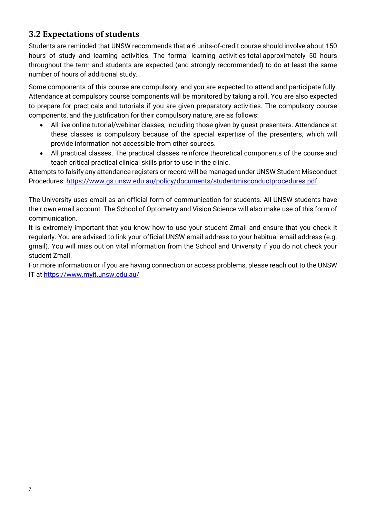# <span id="page-6-0"></span>**3.2 Expectations of students**

Students are reminded that UNSW recommends that a 6 units-of-credit course should involve about 150 hours of study and learning activities. The formal learning activities total approximately 50 hours throughout the term and students are expected (and strongly recommended) to do at least the same number of hours of additional study.

Some components of this course are compulsory, and you are expected to attend and participate fully. Attendance at compulsory course components will be monitored by taking a roll. You are also expected to prepare for practicals and tutorials if you are given preparatory activities. The compulsory course components, and the justification for their compulsory nature, are as follows:

- All live online tutorial/webinar classes, including those given by guest presenters. Attendance at these classes is compulsory because of the special expertise of the presenters, which will provide information not accessible from other sources.
- All practical classes. The practical classes reinforce theoretical components of the course and teach critical practical clinical skills prior to use in the clinic.

Attempts to falsify any attendance registers or record will be managed under UNSW Student Misconduct Procedures:<https://www.gs.unsw.edu.au/policy/documents/studentmisconductprocedures.pdf>

The University uses email as an official form of communication for students. All UNSW students have their own email account. The School of Optometry and Vision Science will also make use of this form of communication.

It is extremely important that you know how to use your student Zmail and ensure that you check it regularly. You are advised to link your official UNSW email address to your habitual email address (e.g. gmail). You will miss out on vital information from the School and University if you do not check your student Zmail.

For more information or if you are having connection or access problems, please reach out to the UNSW IT at<https://www.myit.unsw.edu.au/>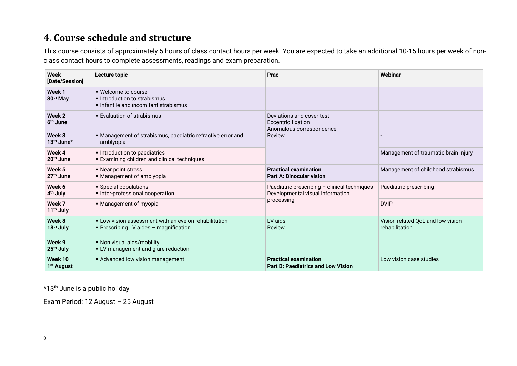# **4. Course schedule and structure**

This course consists of approximately 5 hours of class contact hours per week. You are expected to take an additional 10-15 hours per week of nonclass contact hours to complete assessments, readings and exam preparation.

| Week<br>[Date/Session]             | Lecture topic                                                                                   | Prac                                                                               | Webinar                                             |
|------------------------------------|-------------------------------------------------------------------------------------------------|------------------------------------------------------------------------------------|-----------------------------------------------------|
| Week 1<br>30 <sup>th</sup> May     | . Welcome to course<br>Introduction to strabismus<br>Infantile and incomitant strabismus        |                                                                                    |                                                     |
| Week 2<br>6 <sup>th</sup> June     | • Evaluation of strabismus                                                                      | Deviations and cover test<br><b>Eccentric fixation</b><br>Anomalous correspondence |                                                     |
| Week 3<br>$13th$ June <sup>*</sup> | • Management of strabismus, paediatric refractive error and<br>amblyopia                        | Review                                                                             |                                                     |
| Week 4<br>20 <sup>th</sup> June    | Introduction to paediatrics<br><b>Examining children and clinical techniques</b>                |                                                                                    | Management of traumatic brain injury                |
| Week 5<br>27 <sup>th</sup> June    | • Near point stress<br>• Management of amblyopia                                                | <b>Practical examination</b><br><b>Part A: Binocular vision</b>                    | Management of childhood strabismus                  |
| Week 6<br>4 <sup>th</sup> July     | • Special populations<br>· Inter-professional cooperation                                       | Paediatric prescribing - clinical techniques<br>Developmental visual information   | Paediatric prescribing                              |
| Week 7<br>11 <sup>th</sup> July    | • Management of myopia                                                                          | processing                                                                         | <b>DVIP</b>                                         |
| Week 8<br>18 <sup>th</sup> July    | • Low vision assessment with an eye on rehabilitation<br>• Prescribing LV aides - magnification | LV aids<br>Review                                                                  | Vision related QoL and low vision<br>rehabilitation |
| Week 9<br>25 <sup>th</sup> July    | • Non visual aids/mobility<br>• LV management and glare reduction                               |                                                                                    |                                                     |
| Week 10<br>1 <sup>st</sup> August  | • Advanced low vision management                                                                | <b>Practical examination</b><br><b>Part B: Paediatrics and Low Vision</b>          | Low vision case studies                             |

<span id="page-7-0"></span>\*13th June is a public holiday

Exam Period: 12 August – 25 August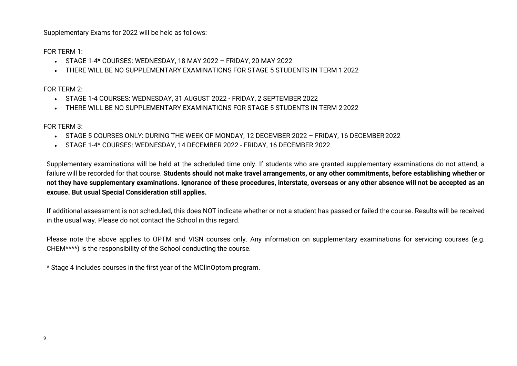Supplementary Exams for 2022 will be held as follows:

FOR TERM 1:

- STAGE 1-4\* COURSES: WEDNESDAY, 18 MAY 2022 FRIDAY, 20 MAY 2022
- THERE WILL BE NO SUPPLEMENTARY EXAMINATIONS FOR STAGE 5 STUDENTS IN TERM 1 2022

FOR TERM 2:

- STAGE 1-4 COURSES: WEDNESDAY, 31 AUGUST 2022 FRIDAY, 2 SEPTEMBER 2022
- THERE WILL BE NO SUPPLEMENTARY EXAMINATIONS FOR STAGE 5 STUDENTS IN TERM 22022

FOR TERM 3:

- STAGE 5 COURSES ONLY: DURING THE WEEK OF MONDAY, 12 DECEMBER 2022 FRIDAY, 16 DECEMBER2022
- STAGE 1-4\* COURSES: WEDNESDAY, 14 DECEMBER 2022 FRIDAY, 16 DECEMBER 2022

Supplementary examinations will be held at the scheduled time only. If students who are granted supplementary examinations do not attend, a failure will be recorded for that course. **Students should not make travel arrangements, or any other commitments, before establishing whether or not they have supplementary examinations. Ignorance of these procedures, interstate, overseas or any other absence will not be accepted as an excuse. But usual Special Consideration still applies.**

If additional assessment is not scheduled, this does NOT indicate whether or not a student has passed or failed the course. Results will be received in the usual way. Please do not contact the School in this regard.

Please note the above applies to OPTM and VISN courses only. Any information on supplementary examinations for servicing courses (e.g. CHEM\*\*\*\*) is the responsibility of the School conducting the course.

\* Stage 4 includes courses in the first year of the MClinOptom program.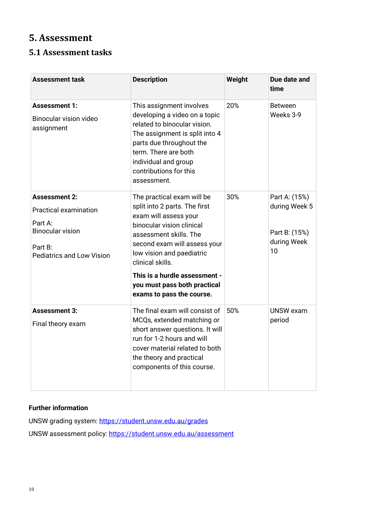# <span id="page-9-0"></span>**5. Assessment**

### <span id="page-9-1"></span>**5.1 Assessment tasks**

| <b>Assessment task</b>                                                                                                                    | <b>Description</b>                                                                                                                                                                                                                                                                                                         | Weight | Due date and<br>time                                                 |
|-------------------------------------------------------------------------------------------------------------------------------------------|----------------------------------------------------------------------------------------------------------------------------------------------------------------------------------------------------------------------------------------------------------------------------------------------------------------------------|--------|----------------------------------------------------------------------|
| <b>Assessment 1:</b><br><b>Binocular vision video</b><br>assignment                                                                       | This assignment involves<br>developing a video on a topic<br>related to binocular vision.<br>The assignment is split into 4<br>parts due throughout the<br>term. There are both<br>individual and group<br>contributions for this<br>assessment.                                                                           | 20%    | <b>Between</b><br>Weeks 3-9                                          |
| <b>Assessment 2:</b><br><b>Practical examination</b><br>Part A:<br><b>Binocular vision</b><br>Part B:<br><b>Pediatrics and Low Vision</b> | The practical exam will be<br>split into 2 parts. The first<br>exam will assess your<br>binocular vision clinical<br>assessment skills. The<br>second exam will assess your<br>low vision and paediatric<br>clinical skills.<br>This is a hurdle assessment -<br>you must pass both practical<br>exams to pass the course. | 30%    | Part A: (15%)<br>during Week 5<br>Part B: (15%)<br>during Week<br>10 |
| <b>Assessment 3:</b><br>Final theory exam                                                                                                 | The final exam will consist of<br>MCQs, extended matching or<br>short answer questions. It will<br>run for 1-2 hours and will<br>cover material related to both<br>the theory and practical<br>components of this course.                                                                                                  | 50%    | <b>UNSW</b> exam<br>period                                           |

#### **Further information**

UNSW grading system:<https://student.unsw.edu.au/grades>

UNSW assessment policy:<https://student.unsw.edu.au/assessment>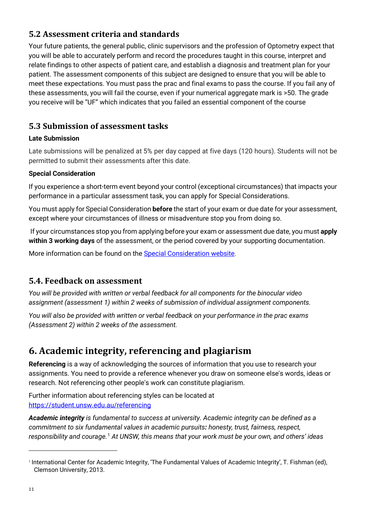# <span id="page-10-0"></span>**5.2 Assessment criteria and standards**

Your future patients, the general public, clinic supervisors and the profession of Optometry expect that you will be able to accurately perform and record the procedures taught in this course, interpret and relate findings to other aspects of patient care, and establish a diagnosis and treatment plan for your patient. The assessment components of this subject are designed to ensure that you will be able to meet these expectations. You must pass the prac and final exams to pass the course. If you fail any of these assessments, you will fail the course, even if your numerical aggregate mark is >50. The grade you receive will be "UF" which indicates that you failed an essential component of the course

### <span id="page-10-1"></span>**5.3 Submission of assessment tasks**

#### **Late Submission**

Late submissions will be penalized at 5% per day capped at five days (120 hours). Students will not be permitted to submit their assessments after this date.

#### **Special Consideration**

If you experience a short-term event beyond your control (exceptional circumstances) that impacts your performance in a particular assessment task, you can apply for Special Considerations.

You must apply for Special Consideration **before** the start of your exam or due date for your assessment, except where your circumstances of illness or misadventure stop you from doing so.

If your circumstances stop you from applying before your exam or assessment due date, you must **apply within 3 working days** of the assessment, or the period covered by your supporting documentation.

More information can be found on the [Special Consideration website.](https://www.student.unsw.edu.au/special-consideration)

#### <span id="page-10-2"></span>**5.4. Feedback on assessment**

*You will be provided with written or verbal feedback for all components for the binocular video assignment (assessment 1) within 2 weeks of submission of individual assignment components.*

*You will also be provided with written or verbal feedback on your performance in the prac exams (Assessment 2) within 2 weeks of the assessment.* 

# <span id="page-10-3"></span>**6. Academic integrity, referencing and plagiarism**

**Referencing** is a way of acknowledging the sources of information that you use to research your assignments. You need to provide a reference whenever you draw on someone else's words, ideas or research. Not referencing other people's work can constitute plagiarism.

Further information about referencing styles can be located at <https://student.unsw.edu.au/referencing>

*Academic integrity is fundamental to success at university. Academic integrity can be defined as a commitment to six fundamental values in academic pursuits: honesty, trust, fairness, respect, responsibility and courage.*[1](#page-10-4) *At UNSW, this means that your work must be your own, and others' ideas* 

<span id="page-10-4"></span><sup>1</sup> International Center for Academic Integrity, 'The Fundamental Values of Academic Integrity', T. Fishman (ed), Clemson University, 2013.